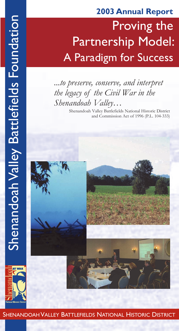# Proving the Partnership Model: A Paradigm for Success **2003 Annual Report**

## *...to preserve, conserve, and interpret the legacy of the Civil War in the Shenandoah Valley…*

Shenandoah Valley Battlefields National Historic District and Commission Act of 1996 (P.L. 104-333)



SHENANDOAH VALLEY BATTLEFIELDS NATIONAL HISTORIC DISTRICT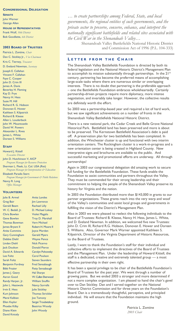#### **CONGRESSIONAL DELEGATION**

**SENATE** John Warner George Allen

#### **HOUSE OF REPRESENTATIVES**

Frank Wolf, *10th District* Bob Goodlatte, *6th District*

#### **2003 BOARD OF TRUSTEES**

Patricia L. Zontine, *Chair* Dan C. Stickley Jr., *Vice Chairman* Kris C. Tierney, *Treasurer* D. Eveland Newman, *Secretary* Joseph E. Callahan Vincent F. Callahan Faye C. Cooper John D. Crim III James A. Davis Beverley H. Fleming Kay D. Frye Nancy H. Hess Susie M. Hill Richard R. G. Hobson Donovan E. Hower Kathleen S. Kilpatrick Richard B. Kleese Allen L. Louderback John W. Mountcastle David W. Powers Alexander L. Rives James L. White

Doreen S. Williams

#### **STAFF**

Howard J. Kittell *Executive Director* John D. Hutchinson V, AICP *Program Manager for Resource Protection* Sherman L. Fleek, Lt. Col. USA (Ret) *Program Manager for Interpretation & Education* Elizabeth Paradis Stern *Program Manager for Government & Public Relations* Nancy R. Long *Office Manager*

#### **VOLUNTEERS**

Julie B. Armel Greg Bair Gerald Beam W. C. Bedall, Jr. Chris Bowlen Gene Bowlen Thomas Bowman James Bryant II Anita Cummins Gary Cunningham Debbie Diehl Linden Diehl Jack Doulton David A. Edwards Lee Foltz Sarah Foltz Benjamin Fordney Bibb Frazier James J. Geary Aaron Good Randy Harper, Jr. John L. Heatwole Irvin E. Hess Kurt Johnson Maral Kalbian Ellen Kaylor Phoebe Kilby Diane Klein David Knicely

Anita Landes Jim Lawrence Rachael Lilly D. Michael Liskey Violet Magalis Troy D. Marshall Vern Michael Robert H. Moore II Joyce Morden Gerald Myers Wayne Pence Nick Picerno Donald Pierce Carolyn Pohowsky Carol Poulson Steven Saunders Fred Sensabaugh Patty Sensabaugh Hal Sharpe W. Cullen Sherwood William Snuffin Nancy Sorrells **Julie Stickley** Thomas Strickler Joe Tamony Sergei Troubetzkoy Beatrice Woody John Woody

*… to create partnerships among Federal, State, and local governments, the regional entities of such governments, and the private sector to preserve, conserve, enhance, and interpret the nationally significant battlefields and related sites associated with the Civil War in the Shenandoah Valley…*

> Shenandoah Valley Battlefields National Historic District and Commission Act of 1996 (P.L. 104-333)

### **L E T T E R F R O M T H E C H A I R**

The Shenandoah Valley Battlefields Foundation is directed by both its federal legislation and the National Historic District's Management Plan to accomplish its mission substantially through partnerships. In the 21<sup>st</sup> century, partnering has become the preferred means of accomplishing large-scale tasks where there are numerous similar or overlapping interests. There is no doubt that partnering is the preferable approach – one the Battlefields Foundation embraces wholeheartedly. Certainly partnership-driven projects require more diplomacy, more intense negotiation, and invariably take longer. However, the collective results are definitely worth the effort.

So 2003 was a partnership-based year and required a lot of hard work, but we saw significant achievements on a number of fronts in the Shenandoah Valley Battlefields National Historic District.

There is a new national park, the Cedar Creek and Belle Grove National Historical Park. Battlefield land has been preserved and more is about to be preserved. The Kernstown Battlefield Association's debt is paid off. A preservation plan for two battlefields has been completed. In addition, the Winchester cluster is up and functional with two interim orientation centers. The Rockingham cluster is a work-in-progress and a new orientation center is being created in Highland County. New interpretive signs and brochures are available to the public. And successful marketing and promotional efforts are underway. All through partnerships!

Again in 2003 our congressional delegation did amazing work to secure full funding for the Battlefields Foundation. These funds enable the Foundation to assist communities and partners throughout the Valley. They must be commended for their strong leadership and their commitment to helping the people of the Shenandoah Valley preserve its history for Virginia and the nation.

In 2003 the Foundation distributed more than \$143,000 in grants to our partner organizations. These grants reach into the very warp and woof of the Valley's communities and assist local groups and governments in fulfilling the vision of the District's Management Plan.

Also in 2003 we were pleased to reelect the following individuals to the Board of Trustees: Richard B. Kleese, Nancy H. Hess, James L. White, and D. Eveland Newman. In addition, we welcomed five new Trustees: John D. Crim III, Richard R.G. Hobson, Donovan E. Hower and Doreen S. Williams. Also, Governor Mark Warner appointed Kathleen S. Kilpatrick, Director of the Virginia Department of Historic Resources, to the Board of Trustees.

Lastly, I want to thank the Foundation's staff for their individual and collective efforts to implement the directives of the Board of Trustees and the Management Plan. Under the leadership of Howard Kittell, the staff is a dedicated, creative and extremely talented group — a most effective partnership in their own right.

It has been a special privilege to be chair of the Battlefields Foundation's Board of Trustees for the past year. We went through a number of growing pains. But we ended 2003 a stronger and more determined if not a more complex organization. I am pleased to hand the chair's gavel over to Dan Stickley. Dan and I served together on the National Historic District Commission and for three years on the Foundation's Board. Dan is a tremendously thoughtful, perceptive, and principled individual. He will ensure that the Foundation maintains the high ground.

> Patricia L. Zontine *2003 Chair*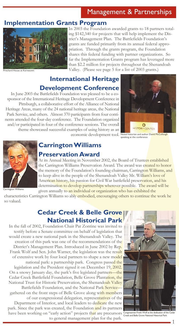## Management & Partnerships

### **Implementation Grants Program**



In 2003 the Foundation awarded grants to 18 partners totaling \$142,340 for projects that will help implement the District's Management Plan. The Battlefields Foundation's grants are funded primarily from its annual federal appropriation. Through the grants program, the Foundation shares this federal funding with partner organizations. So far the Implementation Grants program has leveraged more than \$2.2 million for projects throughout the Shenandoah Valley. (Please see page 5 for a list of 2003 grants.)

itchard House at Kernstown

## **International Heritage Development Conference**

In June 2003 the Battlefields Foundation was pleased to be a cosponsor of the International Heritage Development Conference in Pittsburgh, a collaborative effort of the Alliance of National Heritage Areas, many of the 24 national heritage areas, the National Park Service, and others. Almost 370 participants from four continents attended the four-day conference. The Foundation organized and/or participated in four of the conference sessions. The overall theme showcased successful examples of using history as an



economic development tool. Noted historian and author David McCullough speaking at the conference



Carrington Williams

## **Carrington Williams Preservation Award**

At its Annual Meeting in November 2002, the Board of Trustees established the Carrington Williams Preservation Award. The award was created to honor the memory of the Foundation's founding chairman, Carrington Williams, and to keep alive in the people of the Shenandoah Valley Mr. William's love of American history, his passion for Civil War battlefield preservation, and his determination to develop partnerships wherever possible. The award will be given annually to an individual or organization who has exhibited the

characteristics Carrington Williams so ably embodied, encouraging others to continue the work he so valued.

## **Cedar Creek & Belle Grove National Historical Park**

In the fall of 2002, Foundation Chair Pat Zontine was invited to testify before a Senate committee on behalf of legislation that would create a new national park in the Shenandoah Valley. The creation of this park was one of the recommendations of the District's Management Plan. Introduced in June 2002 by Rep. Frank Wolf and Sen. John Warner, the legislation was the result of extensive work by four local partners to shape a new model national park: a partnership park. Congress passed the legislation and the President signed it on December 19, 2002. On a snowy January day, the park's five legislated partners—the Cedar Creek Battlefield Foundation, Belle Grove Plantation, the National Trust for Historic Preservation, the Shenandoah Valley Battlefields Foundation, and the National Park Service gathered on the front steps of Belle Grove along with members of our congressional delegation, representatives of the Department of Interior, and local leaders to dedicate the new park. Since the park was created, the Foundation and its partners

have been working on "early action" projects th<mark>at</mark> are precursors Congressman Frank Wolf at the dedication of the Cedar<br>Creek and Belle Grove National Historical Park to general management plan for the park.

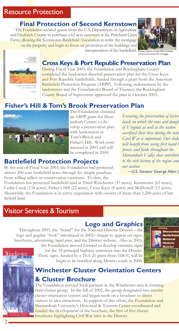## **Final Protection of Second Kernstown**

The Foundation secured grants from the U.S. Department of Agriculture and Frederick County to purchase a 62-acre easement at the Pritchard-Grim Farm, allowing the Kernstown Battlefield Association to retire the mortgage on the property and begin to focus on protection of the buildings and



interpretation of the battlefield. Partners gather to help KBA President Larry Duncan burn the mortgage.



## **Cross Keys & Port Republic Preservation Plan**

During Fiscal Year 2003, the Foundation and Rockingham County completed the landowner-directed preservation plan for the Cross Keys and Port Republic battlefields, funded through a grant from the American Battlefield Protection Program (ABPP). Following endorsement by the landowners and the Foundation's Board of Trustees, the Rockingham County Board of Supervisors approved the plan in October 2003.

## **Fisher's Hill & Tom's Brook Preservation Plan**



The Foundation obtained an ABPP grant for Shenandoah County to develop a preservation plan with landowners at Tom's Brook and Fisher's Hill. Work commenced in 2003 and will be completed in 2004.

## **Battlefield Protection Projects**

By the end of Fiscal Year 2003, the Foundation had protected almost 200 core battlefield acres through fee simple purchase from willing sellers or conservation easement. To date, the

*Ensuring the preservation of histor lands on which the sons and daughthers of Virginia as well as the nation sacrificed their lives during the national Civil War is important. Our child will benefit from seeing first hand the forests and fields throughout the Shenandoah Valley that contribut to the rich history of the region and our nation.* -U.S. Senator George Allen (

Foundation has protected battlefield land at Third Winchester (37 acres), Kernstown (62 acres), Cedar Creek (134 acres), Fisher's Hill (22 acres), Cross Keys (8 acres) and McDowell (13 acres). Meanwhile, the Foundation is in active negotiation with owners of more than 1,200 acres of battlefield land.

## Visitor Services & Tourism

## **Logo and Graphics**

Throughout 2003, the "brand" for the National Historic District—the logo and graphic "look" introduced in 2002—began to appear on signs, brochures, advertising, lapel pins, and the District website. Also in 2003,



the Foundation moved forward to develop entrance signs for the 18 principal highway entrances into the District. These signs, funded by a TEA-21 grant from VDOT, will be begin to be installed along District roads in 2004.



## **Winchester Cluster Orientation Centers & Cluster Brochure**

The Foundation assisted local partners in the Winchester area in forming their cluster group. In the fall of 2002, the group designated two interim cluster orientation centers and began work on a brochure to direct visitors to area attractions. In support of this effort, the Foundation and Shenandoah University's Historical & Tourism Center coordinated and funded the development of the brochure, the first of five cluster brochures highlighting Civil War sites in the District.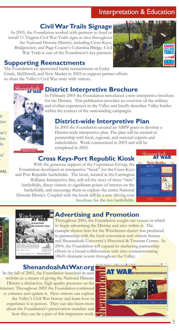## Interpretation & Education

## **Civil War Trails Signage**

In 2003, the Foundation worked with partners to fund or install 11 Virginia Civil War Trails signs at sites throughout the National Historic District, including Cross Keys, Bridgewater, and Page County's Columbia Bridge. Civil War Trails is one of the Foundation's key partners.

### **Supporting Reenactments**

The Foundation co-sponsored battle reenactments at Cedar Creek, McDowell, and New Market in 2003 to support partner efforts to share the Valley's Civil War story with visitors.

## **District Interpretive Brochure**

*lands on which the sons and daughters sacrificed their lives during the nation's* 

*Ensuring the preservation of historic* 

*Civil War is important. Our children*   $he$ 

*Shenandoah Valley that contributed to the rich history of the region and* 

VA)

In February 2003 the Foundation introduced a new interpretive brochure for the District. This publication provides an overview of the military and civilian experiences in the Valley and briefly describes Valley battles within the context of the surrounding campaigns.

## **District-wide Interpretive Plan**

In 2003 the Foundation secured an ABPP grant to develop a District-wide interpretive plan. The plan will be created in partnership with local, regional, and national experts and stakeholders. Work commenced in 2003 and will be completed in 2005.

## **Cross Keys-Port Republic Kiosk**

With the generous support of the Copernicus Group, the Foundation developed an interpretive "kiosk" for the Cross Keys and Port Republic battlefields. The kiosk, located at the Carrington Williams Interpretive Site, will tell the story of these "twin" battlefields, direct visitors to significant points of interest on the battlefields, and encourage them to explore the entire National Historic District. Coupled with the kiosk will be a new driving tour brochure for the two battlefields.





## **Advertising and Promotion**

Throughout 2003, the Foundation sought out venues in which to begin advertising the District and sites within it. The example shown here for the Winchester cluster was produced in partnership with the local convention and visitors bureau and Shenandoah University's Historical & Tourism Center. In 2004, the Foundation will expand its marketing partnership efforts in a broad collaboration with sites commemorating 1864's dramatic events throughout the Valley.

### **ShenandoahAtWar.org**

In the fall of 2002, the Foundation launched its new website as a means of giving the National Historic District a distinctive, high-quality presence on the internet. Throughout 2003 the Foundation continued to enhance and update it. Here visitors can explore the Valley's Civil War history and learn how to experience it in person. They can also learn more about the Foundation's preservation mandate and how they can be a part of this important work.







TRAI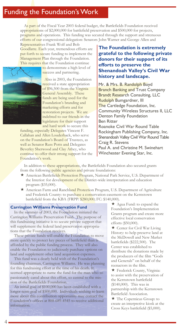## Funding the Foundation's Work

As part of the Fiscal Year 2003 federal budget, the Battlefields Foundation received appropriations of \$2,000,000 for battlefield preservation and \$500,000 for projects, programs and operations. This funding was secured through the support and strenuous efforts of our congressional delegation: Senators John Warner and George Allen and

Representatives Frank Wolf and Bob Goodlatte. Each year, tremendous efforts are put forth to secure funding to implement the Management Plan through the Foundation. This requires that the Foundation continue



to demonstrate a high level of success and partnering.

 Also in 2003, the Foundation received a state appropriation of \$96,500 from the Virginia General Assembly. These funds are being used for the Foundation's branding and marketing efforts and for restoration projects. We are indebted to our friends in the legislature for their support and hard work to secure this

funding, especially Delegates Vincent F. Callahan and Allen Louderback, who serve on the Foundation's Board of Trustees, as well as Senator Russ Potts and Delegates Beverley Sherwood and Clay Athey, who continue to offer their strong support for the Foundation's work.

### **The Foundation is extremely grateful to the following private donors for their support of its efforts to preserve the Shenandoah Valley's Civil War history and landscape.**

Mr. & Mrs. B. Randolph Boyd Branch Banking and Trust Company Brandt Research Consulting, LLC Rudolph Bumgardner, III The Cartledge Foundation, Inc. Community Wireless Structures II, LLC Denton Family Foundation Ben Ritter Roanoke Civil War Round Table Rockingham Publishing Company, Inc. Shenandoah Valley Civil War Round Table Craig R. Stevens Paul A. and Christine M. Swinehart Winchester Evening Star, Inc.

In addition to these appropriations, the Battlefields Foundation also secured grants from the following public agencies and private foundations:

- \* American Battlefields Protection Program, National Park Service, U.S. Department of the Interior: for development of the District-wide interpretation and education program (\$35,000).
- \* American Farm and Ranchland Protection Program, U.S. Department of Agriculture and Frederick County: to purchase a conservation easement on the Kernstown battlefield from the KBA (FRPP: \$280,000; FC: \$140,000).

### **Carrington Williams Preservation Fund**

In the summer of 2003, the Foundation initiated the Carrington Williams Preservation Fund. The purpose of this fundraising initiative is to secure private support that will supplement the federal land preservation appropriations that the Foundation receives.

These private funds will enable the Foundation to move more quickly to protect key pieces of battlefield than is afforded by the public funding process. They will also enable the Foundation to judiciously purchase options on land and supplement other land acquisition expenses.

This fund was a dearly held wish of the Foundation's founding chairman, Carrington Williams. He was planning for this fundraising effort at the time of his death. It seemed appropriate to name the fund for the man who so passionately cared about this effort, so central to the mission of the Battlefields Foundation.

An initial goal of \$100,000 has been established with a longer-term goal of \$500,000. Individuals wishing to learn more about this contribution opportunity may contact the Foundation's offices at 888-689-4545 to receive additional information.

 $\star$  Agua Fund: to expand the Foundation's Implementation Grants program and create more effective local conservation efforts (\$50,000).

**★** Center for Civil War Living History: to help preserve land at the McDowell and New Market battlefields (\$222,500). The Center was established to distribute the donations made by the producers of the film "Gods and Generals" on behalf of the reenactors in the film.

 Frederick County, Virginia: to assist with the preservation of the Kernstown battlefield (\$140,000). This was in partnership with the Kernstown Battlefield Association.

 The Copernicus Group: to create an interpretive kiosk at the Cross Keys battlefield (\$5,000).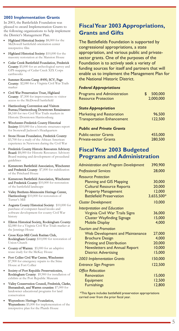### **2003 Implementation Grants**

In 2003, the Battlefields Foundation was pleased to award Implementation Grants to the following organizations to help implement the District's Management Plan.

- Highland Historical Society: \$8,000 for the McDowell battlefield orientation center interpretive film
- Highland Historical Society: \$10,000 for the masonry restoration at the Mansion House
- Cedar Creek Battlefield Foundation, Frederick County: \$5,000 for an archeological survey and GPS mapping of Cedar Creek XIX Corps earthworks
- Summer-Koontz Camp #490, SCV, Page County: \$2,080 for a Virginia Civil War Trails marker
- Civil War Preservation Trust, Highland County: \$7,500 for improvements to visitor access to the McDowell battlefield
- Harrisonburg Convention and Visitors Bureau/Harrisonburg Downtown Renaissance: \$4,160 for two Civil War Trails markers in Historic Downtown Harrisonburg
- Winchester-Frederick County Historical Society: \$10,000 for a historic structures report for Stonewall Jackson's Headquarters
- Stone House Foundation, Frederick County: \$3,700 for a study of the African American experience in Newtown during the Civil War
- Frederick County Historic Resources Advisory Board: \$8,000 for Historic Resources Advisory Board training and development of procedural guidelines
- Kernstown Battlefield Association, Winchester and Frederick County: \$7,000 for stabilization of the Pritchard House
- Kernstown Battlefield Association, Winchester and Frederick County: \$10,000 for restoration of the battlefield landscape
- Valley Brethren-Mennonite Heritage Center, Harrisonburg: \$10,000 for restoration of Turner's Mill
- Augusta County Historical Society: \$10,000 for purchase of computer-based kiosks and software development for county Civil War history
- Elkton Historical Society, Rockingham County: \$2,080 for a Virginia Civil War Trials marker at the Jennings House
- Cross Keys-Mill Creek Ruritan Club, Rockingham County: \$10,000 for restoration of Union Church
- County of Warren: \$5,000 for an adaptive reuse study for the McKay House
- Fort Collier Civil War Center, Winchester: \$7,900 for emergency repairs to the Stine House at Fort Collier
- Society of Port Republic Preservationists, Rockingham County: \$9,900 for installation of exhibits at the Port Republic Museum
- Valley Conservation Council, Frederick, Clarke, Shenandoah, and Warren counties: \$7,000 for landowner educational programs for land conservation
- Waynesboro Heritage Foundation, Waynesboro: \$5,000 for implementation of the interpretive plan for the Plumb House

### **Fiscal Year 2003 Appropriations, Grants and Gifts**

The Battlefields Foundation is supported by congressional appropriations, a state appropriation, and various public and privatesector grants. One of the purposes of the Foundation is to actively seek a variety of funding sources for itself and partners that will enable us to implement the Management Plan for the National Historic District.

### *Federal Appropriations*

| <b>Programs and Administration</b> | 500,000   |
|------------------------------------|-----------|
| <b>Resource Protection</b>         | 2,000,000 |
| <b>State Appropriation</b>         |           |
| Marketing and Restoration          | 96.500    |
| <b>Transportation Enhancement</b>  | 122,500   |
| <b>Public and Private Grants</b>   |           |
| <b>Public-sector Grants</b>        | 455,000   |
| <b>Private-sector Grants</b>       | 280,500   |

### **Fiscal Year 2003 Budgeted Programs and Administration**

| <b>Administration and Program Development</b> | 390,900    |
|-----------------------------------------------|------------|
| <b>Professional Services</b>                  | 28,000     |
| <b>Resource Protection</b>                    |            |
| <b>Planning and GIS Mapping</b>               | 30,000     |
| <b>Cultural Resource Reports</b>              | 20,000     |
| <b>Property Management</b>                    | 12,000     |
| <b>Battlefield Preservation</b>               | 3,655,500* |
| <b>Cluster Development</b>                    | 10,000     |
| <b>Interpretation and Education</b>           |            |
| Virginia Civil War Trails Signs               | 36,000     |
| <b>Cluster Wayfinding Signage</b>             | 15,000     |
| <b>Mobile Display</b>                         | 4,000      |
| <b>Tourism and Promotion</b>                  |            |
| <b>Web Development and Maintenance</b>        | 27,000     |
| <b>Brochure Design</b>                        | 4,000      |
| <b>Printing and Distribution</b>              | 20,000     |
| <b>Newsletters and Annual Report</b>          | 10,000     |
| <b>District Advertising</b>                   | 15,000     |
| <b>2003 Implementation Grants</b>             | 150,000    |
| <b>Entrance Sign Program</b>                  | 122,500    |
| <b>Office Relocation</b>                      |            |
| Renovation                                    | 15,000     |
| Equipment                                     | 12,500     |
| <b>Furnishings</b>                            | 12,800     |

\*This figure includes battlefield preservation appropriations carried over from the prior fiscal year.